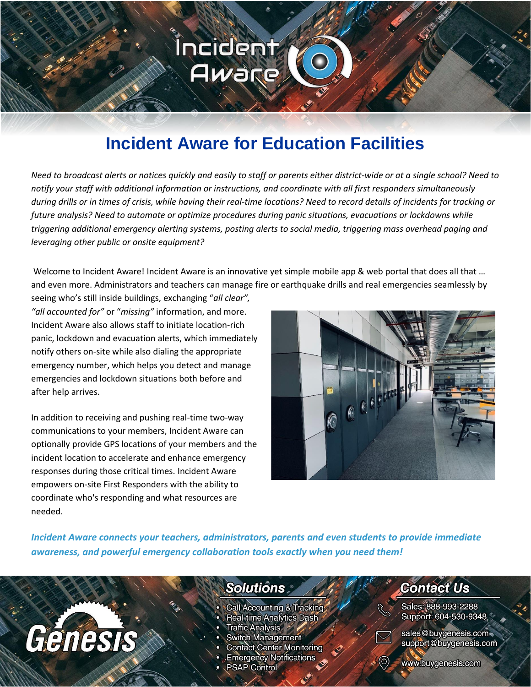# **Incident Aware for Education Facilities**

Íncident

Aware

*Need to broadcast alerts or notices quickly and easily to staff or parents either district-wide or at a single school? Need to notify your staff with additional information or instructions, and coordinate with all first responders simultaneously during drills or in times of crisis, while having their real-time locations? Need to record details of incidents for tracking or future analysis? Need to automate or optimize procedures during panic situations, evacuations or lockdowns while triggering additional emergency alerting systems, posting alerts to social media, triggering mass overhead paging and leveraging other public or onsite equipment?*

Welcome to Incident Aware! Incident Aware is an innovative yet simple mobile app & web portal that does all that ... and even more. Administrators and teachers can manage fire or earthquake drills and real emergencies seamlessly by

seeing who's still inside buildings, exchanging "*all clear", "all accounted for"* or "*missing"* information, and more. Incident Aware also allows staff to initiate location-rich panic, lockdown and evacuation alerts, which immediately notify others on-site while also dialing the appropriate emergency number, which helps you detect and manage emergencies and lockdown situations both before and after help arrives.

In addition to receiving and pushing real-time two-way communications to your members, Incident Aware can optionally provide GPS locations of your members and the incident location to accelerate and enhance emergency responses during those critical times. Incident Aware empowers on-site First Responders with the ability to coordinate who's responding and what resources are needed.

Génesis



*Incident Aware connects your teachers, administrators, parents and even students to provide immediate awareness, and powerful emergency collaboration tools exactly when you need them!*

### **Solutions**

- Call Accounting & Tracking
- Real-time Analytics Dash
- Traffic Analysis \*
- **Switch Management**
- **Contact Center Monitoring**
- **Emergency Notifications**
- **PSAP Control**

### **Contact Us**

Sales: 888-993-2288 Support: 604-530-9348



sales@buygenesis.com support@buygenesis.com